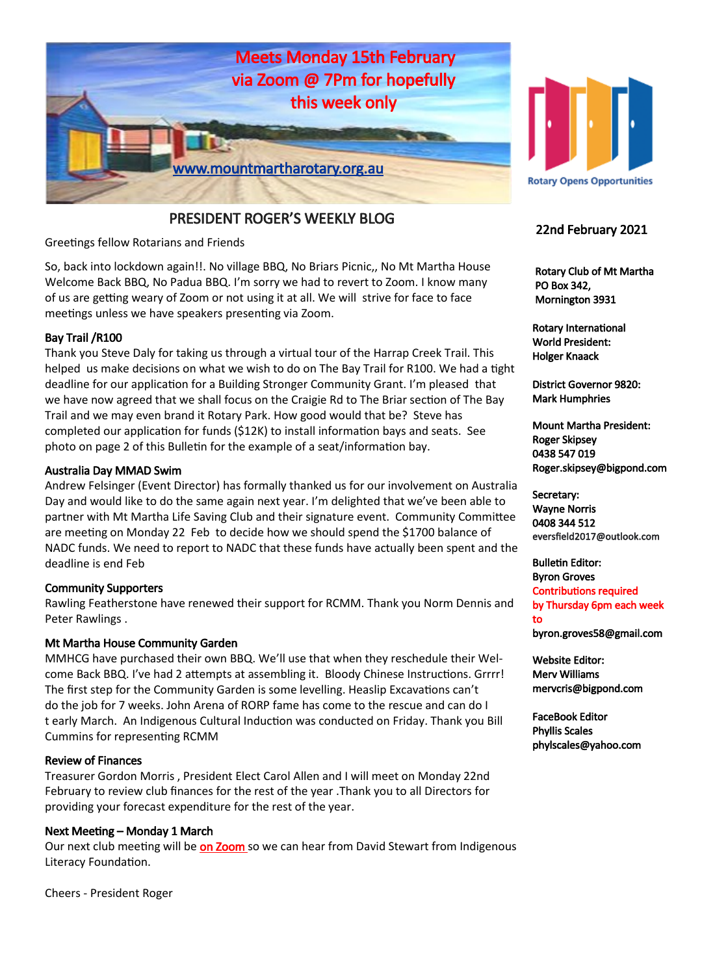

# PRESIDENT ROGER'S WEEKLY BLOG

Greetings fellow Rotarians and Friends

So, back into lockdown again!!. No village BBQ, No Briars Picnic,, No Mt Martha House Welcome Back BBQ, No Padua BBQ. I'm sorry we had to revert to Zoom. I know many of us are getting weary of Zoom or not using it at all. We will strive for face to face meetings unless we have speakers presenting via Zoom.

## Bay Trail /R100

Thank you Steve Daly for taking us through a virtual tour of the Harrap Creek Trail. This helped us make decisions on what we wish to do on The Bay Trail for R100. We had a tight deadline for our application for a Building Stronger Community Grant. I'm pleased that we have now agreed that we shall focus on the Craigie Rd to The Briar section of The Bay Trail and we may even brand it Rotary Park. How good would that be? Steve has completed our application for funds (\$12K) to install information bays and seats. See photo on page 2 of this Bulletin for the example of a seat/information bay.

#### Australia Day MMAD Swim

Andrew Felsinger (Event Director) has formally thanked us for our involvement on Australia Day and would like to do the same again next year. I'm delighted that we've been able to partner with Mt Martha Life Saving Club and their signature event. Community Committee are meeting on Monday 22 Feb to decide how we should spend the \$1700 balance of NADC funds. We need to report to NADC that these funds have actually been spent and the deadline is end Feb

#### Community Supporters

Rawling Featherstone have renewed their support for RCMM. Thank you Norm Dennis and Peter Rawlings .

#### Mt Martha House Community Garden

MMHCG have purchased their own BBQ. We'll use that when they reschedule their Welcome Back BBQ. I've had 2 attempts at assembling it. Bloody Chinese Instructions. Grrrr! The first step for the Community Garden is some levelling. Heaslip Excavations can't do the job for 7 weeks. John Arena of RORP fame has come to the rescue and can do I t early March. An Indigenous Cultural Induction was conducted on Friday. Thank you Bill Cummins for representing RCMM

#### Review of Finances

Treasurer Gordon Morris , President Elect Carol Allen and I will meet on Monday 22nd February to review club finances for the rest of the year .Thank you to all Directors for providing your forecast expenditure for the rest of the year.

#### Next Meeting – Monday 1 March

Our next club meeting will be on Zoom so we can hear from David Stewart from Indigenous Literacy Foundation.



# 22nd February 2021

 Rotary Club of Mt Martha PO Box 342, Mornington 3931

Rotary International World President: Holger Knaack

District Governor 9820: Mark Humphries

Mount Martha President: Roger Skipsey 0438 547 019 Roger.skipsey@bigpond.com

Secretary: Wayne Norris 0408 344 512 eversfield2017@outlook.com

Bulletin Editor: Byron Groves Contributions required by Thursday 6pm each week to byron.groves58@gmail.com

Website Editor: Merv Williams mervcris@bigpond.com

FaceBook Editor Phyllis Scales phylscales@yahoo.com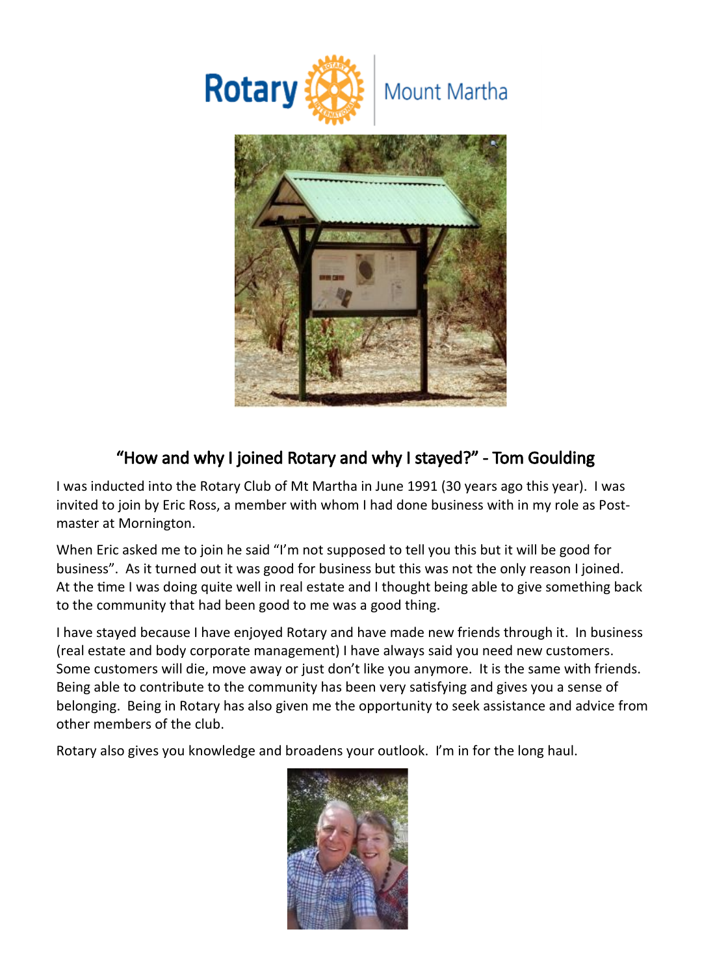

# "How and why I joined Rotary and why I stayed?" - Tom Goulding

I was inducted into the Rotary Club of Mt Martha in June 1991 (30 years ago this year). I was invited to join by Eric Ross, a member with whom I had done business with in my role as Postmaster at Mornington.

When Eric asked me to join he said "I'm not supposed to tell you this but it will be good for business". As it turned out it was good for business but this was not the only reason I joined. At the time I was doing quite well in real estate and I thought being able to give something back to the community that had been good to me was a good thing.

I have stayed because I have enjoyed Rotary and have made new friends through it. In business (real estate and body corporate management) I have always said you need new customers. Some customers will die, move away or just don't like you anymore. It is the same with friends. Being able to contribute to the community has been very satisfying and gives you a sense of belonging. Being in Rotary has also given me the opportunity to seek assistance and advice from other members of the club.

Rotary also gives you knowledge and broadens your outlook. I'm in for the long haul.

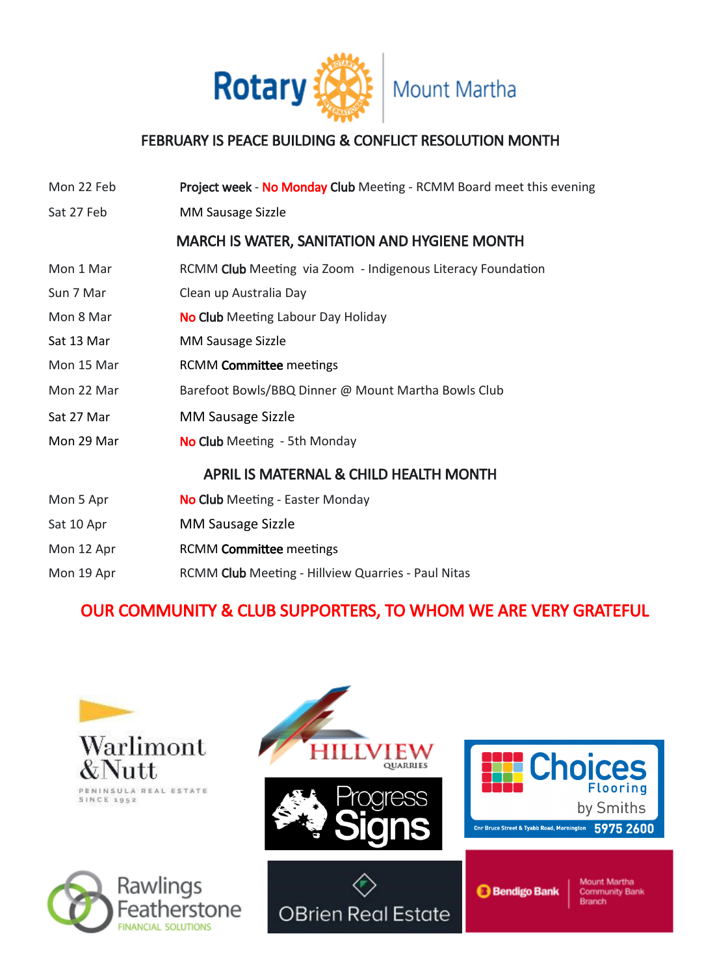

# FEBRUARY IS PEACE BUILDING & CONFLICT RESOLUTION MONTH

| Mon 22 Feb                                        | Project week - No Monday Club Meeting - RCMM Board meet this evening |  |  |  |
|---------------------------------------------------|----------------------------------------------------------------------|--|--|--|
| Sat 27 Feb                                        | MM Sausage Sizzle                                                    |  |  |  |
|                                                   | <b>MARCH IS WATER, SANITATION AND HYGIENE MONTH</b>                  |  |  |  |
| Mon 1 Mar                                         | RCMM Club Meeting via Zoom - Indigenous Literacy Foundation          |  |  |  |
| Sun 7 Mar                                         | Clean up Australia Day                                               |  |  |  |
| Mon 8 Mar                                         | <b>No Club</b> Meeting Labour Day Holiday                            |  |  |  |
| Sat 13 Mar                                        | MM Sausage Sizzle                                                    |  |  |  |
| Mon 15 Mar                                        | <b>RCMM Committee meetings</b>                                       |  |  |  |
| Mon 22 Mar                                        | Barefoot Bowls/BBQ Dinner @ Mount Martha Bowls Club                  |  |  |  |
| Sat 27 Mar                                        | <b>MM Sausage Sizzle</b>                                             |  |  |  |
| Mon 29 Mar                                        | No Club Meeting - 5th Monday                                         |  |  |  |
| <b>APRIL IS MATERNAL &amp; CHILD HEALTH MONTH</b> |                                                                      |  |  |  |
| Mon 5 Apr                                         | No Club Meeting - Easter Monday                                      |  |  |  |
| Sat 10 Apr                                        | <b>MM Sausage Sizzle</b>                                             |  |  |  |
| Mon 12 Apr                                        | <b>RCMM Committee meetings</b>                                       |  |  |  |
| Mon 19 Apr                                        | RCMM Club Meeting - Hillview Quarries - Paul Nitas                   |  |  |  |
|                                                   |                                                                      |  |  |  |

# OUR COMMUNITY & CLUB SUPPORTERS, TO WHOM WE ARE VERY GRATEFUL

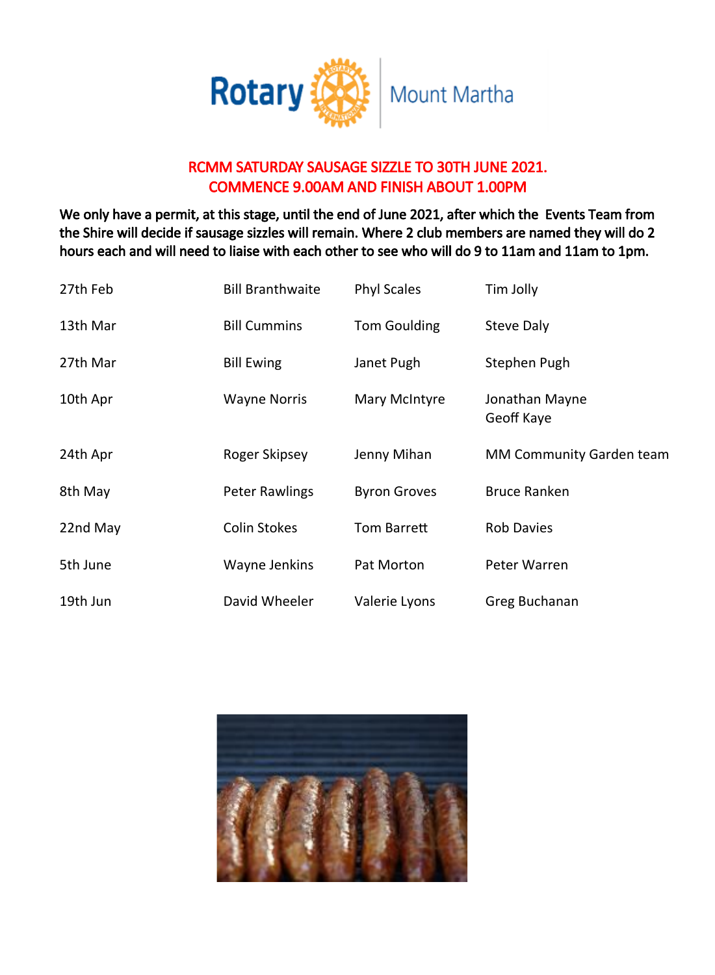

# RCMM SATURDAY SAUSAGE SIZZLE TO 30TH JUNE 2021. COMMENCE 9.00AM AND FINISH ABOUT 1.00PM

We only have a permit, at this stage, until the end of June 2021, after which the Events Team from the Shire will decide if sausage sizzles will remain. Where 2 club members are named they will do 2 hours each and will need to liaise with each other to see who will do 9 to 11am and 11am to 1pm.

| 27th Feb | <b>Bill Branthwaite</b> | <b>Phyl Scales</b>  | Tim Jolly                       |
|----------|-------------------------|---------------------|---------------------------------|
| 13th Mar | <b>Bill Cummins</b>     | <b>Tom Goulding</b> | Steve Daly                      |
| 27th Mar | <b>Bill Ewing</b>       | Janet Pugh          | Stephen Pugh                    |
| 10th Apr | <b>Wayne Norris</b>     | Mary McIntyre       | Jonathan Mayne<br>Geoff Kaye    |
| 24th Apr | Roger Skipsey           | Jenny Mihan         | <b>MM Community Garden team</b> |
| 8th May  | <b>Peter Rawlings</b>   | <b>Byron Groves</b> | <b>Bruce Ranken</b>             |
| 22nd May | <b>Colin Stokes</b>     | Tom Barrett         | <b>Rob Davies</b>               |
| 5th June | Wayne Jenkins           | Pat Morton          | Peter Warren                    |
| 19th Jun | David Wheeler           | Valerie Lyons       | Greg Buchanan                   |

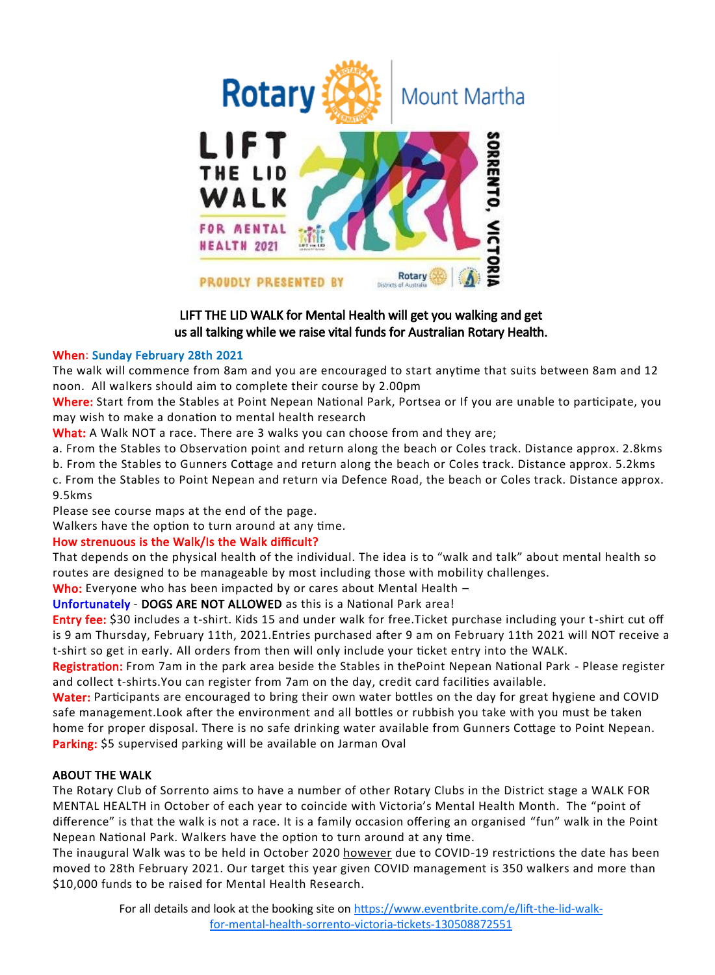

# LIFT THE LID WALK for Mental Health will get you walking and get us all talking while we raise vital funds for Australian Rotary Health.

## When: Sunday February 28th 2021

The walk will commence from 8am and you are encouraged to start anytime that suits between 8am and 12 noon. All walkers should aim to complete their course by 2.00pm

Where: Start from the Stables at Point Nepean National Park, Portsea or If you are unable to participate, you may wish to make a donation to mental health research

What: A Walk NOT a race. There are 3 walks you can choose from and they are;

a. From the Stables to Observation point and return along the beach or Coles track. Distance approx. 2.8kms

b. From the Stables to Gunners Cottage and return along the beach or Coles track. Distance approx. 5.2kms

c. From the Stables to Point Nepean and return via Defence Road, the beach or Coles track. Distance approx. 9.5kms

Please see course maps at the end of the page.

Walkers have the option to turn around at any time.

## How strenuous is the Walk/Is the Walk difficult?

That depends on the physical health of the individual. The idea is to "walk and talk" about mental health so routes are designed to be manageable by most including those with mobility challenges.

Who: Everyone who has been impacted by or cares about Mental Health -

Unfortunately - DOGS ARE NOT ALLOWED as this is a National Park area!

Entry fee: \$30 includes a t-shirt. Kids 15 and under walk for free.Ticket purchase including your t-shirt cut off is 9 am Thursday, February 11th, 2021.Entries purchased after 9 am on February 11th 2021 will NOT receive a t-shirt so get in early. All orders from then will only include your ticket entry into the WALK.

Registration: From 7am in the park area beside the Stables in the Point Nepean National Park - Please register and collect t-shirts.You can register from 7am on the day, credit card facilities available.

Water: Participants are encouraged to bring their own water bottles on the day for great hygiene and COVID safe management.Look after the environment and all bottles or rubbish you take with you must be taken home for proper disposal. There is no safe drinking water available from Gunners Cottage to Point Nepean. Parking: \$5 supervised parking will be available on Jarman Oval

## ABOUT THE WALK

The Rotary Club of Sorrento aims to have a number of other Rotary Clubs in the District stage a WALK FOR MENTAL HEALTH in October of each year to coincide with Victoria's Mental Health Month. The "point of difference" is that the walk is not a race. It is a family occasion offering an organised "fun" walk in the Point Nepean National Park. Walkers have the option to turn around at any time.

The inaugural Walk was to be held in October 2020 however due to COVID-19 restrictions the date has been moved to 28th February 2021. Our target this year given COVID management is 350 walkers and more than \$10,000 funds to be raised for Mental Health Research.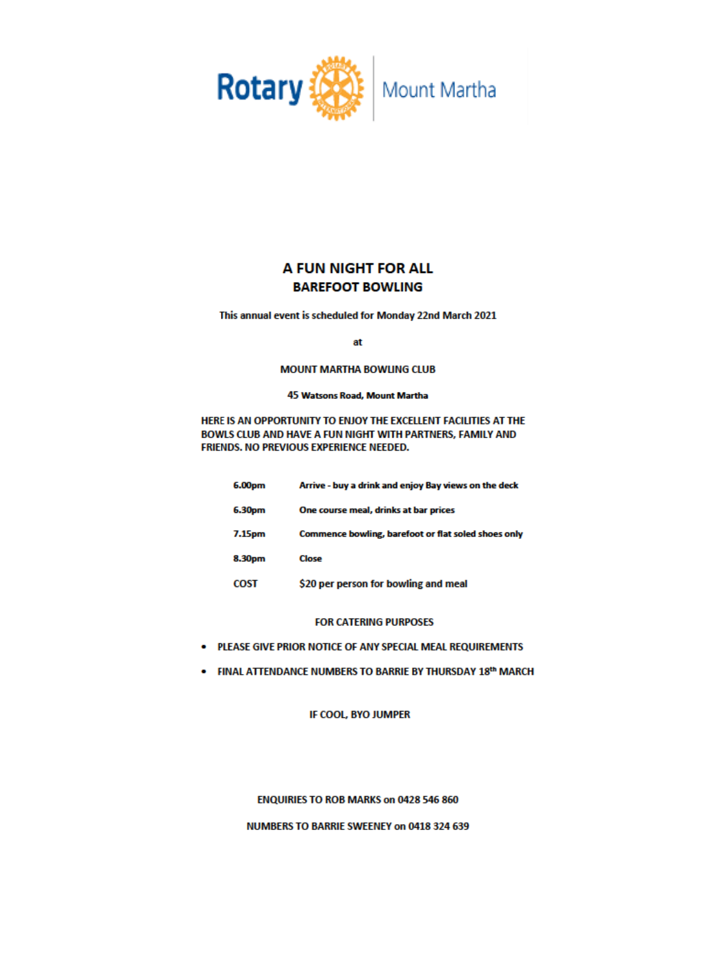

# A FUN NIGHT FOR ALL **BAREFOOT BOWLING**

This annual event is scheduled for Monday 22nd March 2021

at

#### **MOUNT MARTHA BOWLING CLUB**

#### 45 Watsons Road, Mount Martha

HERE IS AN OPPORTUNITY TO ENJOY THE EXCELLENT FACILITIES AT THE BOWLS CLUB AND HAVE A FUN NIGHT WITH PARTNERS, FAMILY AND FRIENDS. NO PREVIOUS EXPERIENCE NEEDED.

| 6.00pm      | Arrive - buy a drink and enjoy Bay views on the deck |
|-------------|------------------------------------------------------|
| 6.30pm      | One course meal, drinks at bar prices                |
| 7.15pm      | Commence bowling, barefoot or flat soled shoes only  |
| 8.30pm      | Close                                                |
| <b>COST</b> | \$20 per person for bowling and meal                 |

#### **FOR CATERING PURPOSES**

- . PLEASE GIVE PRIOR NOTICE OF ANY SPECIAL MEAL REQUIREMENTS
- FINAL ATTENDANCE NUMBERS TO BARRIE BY THURSDAY 18th MARCH

IF COOL, BYO JUMPER

#### ENQUIRIES TO ROB MARKS on 0428 546 860

NUMBERS TO BARRIE SWEENEY on 0418 324 639